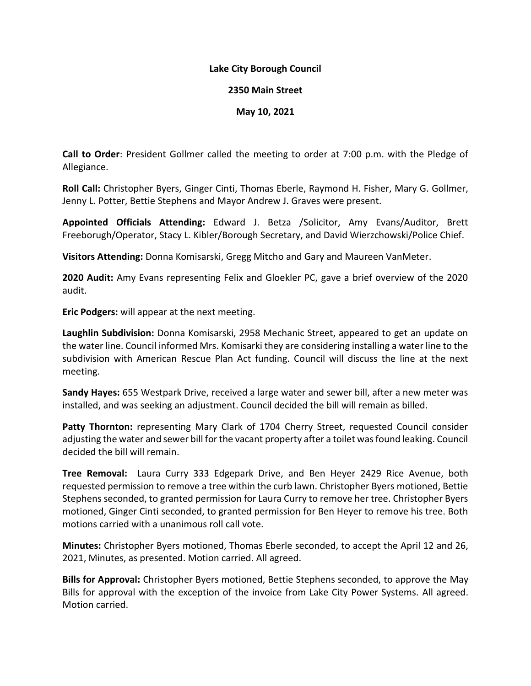### **Lake City Borough Council**

#### **2350 Main Street**

### **May 10, 2021**

**Call to Order**: President Gollmer called the meeting to order at 7:00 p.m. with the Pledge of Allegiance.

**Roll Call:** Christopher Byers, Ginger Cinti, Thomas Eberle, Raymond H. Fisher, Mary G. Gollmer, Jenny L. Potter, Bettie Stephens and Mayor Andrew J. Graves were present.

**Appointed Officials Attending:** Edward J. Betza /Solicitor, Amy Evans/Auditor, Brett Freeborugh/Operator, Stacy L. Kibler/Borough Secretary, and David Wierzchowski/Police Chief.

**Visitors Attending:** Donna Komisarski, Gregg Mitcho and Gary and Maureen VanMeter.

**2020 Audit:** Amy Evans representing Felix and Gloekler PC, gave a brief overview of the 2020 audit.

**Eric Podgers:** will appear at the next meeting.

**Laughlin Subdivision:** Donna Komisarski, 2958 Mechanic Street, appeared to get an update on the water line. Council informed Mrs. Komisarki they are considering installing a water line to the subdivision with American Rescue Plan Act funding. Council will discuss the line at the next meeting.

**Sandy Hayes:** 655 Westpark Drive, received a large water and sewer bill, after a new meter was installed, and was seeking an adjustment. Council decided the bill will remain as billed.

**Patty Thornton:** representing Mary Clark of 1704 Cherry Street, requested Council consider adjusting the water and sewer bill for the vacant property after a toilet was found leaking. Council decided the bill will remain.

**Tree Removal:** Laura Curry 333 Edgepark Drive, and Ben Heyer 2429 Rice Avenue, both requested permission to remove a tree within the curb lawn. Christopher Byers motioned, Bettie Stephens seconded, to granted permission for Laura Curry to remove her tree. Christopher Byers motioned, Ginger Cinti seconded, to granted permission for Ben Heyer to remove his tree. Both motions carried with a unanimous roll call vote.

**Minutes:** Christopher Byers motioned, Thomas Eberle seconded, to accept the April 12 and 26, 2021, Minutes, as presented. Motion carried. All agreed.

**Bills for Approval:** Christopher Byers motioned, Bettie Stephens seconded, to approve the May Bills for approval with the exception of the invoice from Lake City Power Systems. All agreed. Motion carried.